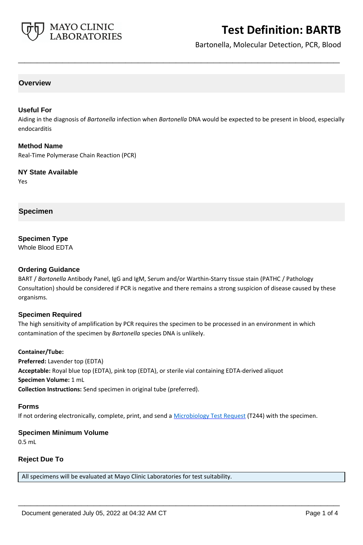

# **Test Definition: BARTB**

Bartonella, Molecular Detection, PCR, Blood

## **Overview**

## **Useful For**

Aiding in the diagnosis of *Bartonella* infection when *Bartonella* DNA would be expected to be present in blood, especially endocarditis

**\_\_\_\_\_\_\_\_\_\_\_\_\_\_\_\_\_\_\_\_\_\_\_\_\_\_\_\_\_\_\_\_\_\_\_\_\_\_\_\_\_\_\_\_\_\_\_\_\_\_\_**

#### **Method Name**

Real-Time Polymerase Chain Reaction (PCR)

**NY State Available** Yes

**Specimen**

**Specimen Type**

Whole Blood EDTA

## **Ordering Guidance**

BART / *Bartonella* Antibody Panel, IgG and IgM, Serum and/or Warthin-Starry tissue stain (PATHC / Pathology Consultation) should be considered if PCR is negative and there remains a strong suspicion of disease caused by these organisms.

## **Specimen Required**

The high sensitivity of amplification by PCR requires the specimen to be processed in an environment in which contamination of the specimen by *Bartonella* species DNA is unlikely.

#### **Container/Tube:**

**Preferred:** Lavender top (EDTA) **Acceptable:** Royal blue top (EDTA), pink top (EDTA), or sterile vial containing EDTA-derived aliquot **Specimen Volume:** 1 mL **Collection Instructions:** Send specimen in original tube (preferred).

#### **Forms**

If not ordering electronically, complete, print, and send a [Microbiology Test Request](https://www.mayocliniclabs.com/it-mmfiles/Microbiology_Test_Request_Form.pdf) (T244) with the specimen.

**\_\_\_\_\_\_\_\_\_\_\_\_\_\_\_\_\_\_\_\_\_\_\_\_\_\_\_\_\_\_\_\_\_\_\_\_\_\_\_\_\_\_\_\_\_\_\_\_\_\_\_**

## **Specimen Minimum Volume**

0.5 mL

## **Reject Due To**

All specimens will be evaluated at Mayo Clinic Laboratories for test suitability.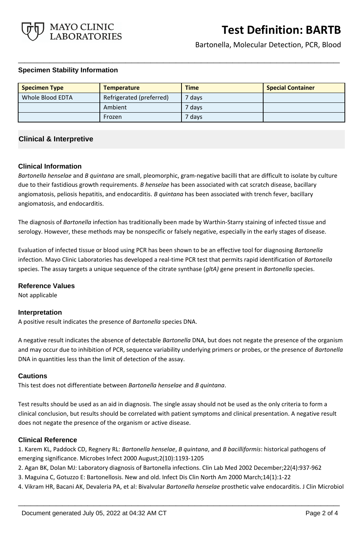

Bartonella, Molecular Detection, PCR, Blood

## **Specimen Stability Information**

| <b>Specimen Type</b> | <b>Temperature</b>       | <b>Time</b>       | <b>Special Container</b> |
|----------------------|--------------------------|-------------------|--------------------------|
| Whole Blood EDTA     | Refrigerated (preferred) | <sup>7</sup> days |                          |
|                      | Ambient                  | 7 days            |                          |
|                      | Frozen                   | ' days'           |                          |

**\_\_\_\_\_\_\_\_\_\_\_\_\_\_\_\_\_\_\_\_\_\_\_\_\_\_\_\_\_\_\_\_\_\_\_\_\_\_\_\_\_\_\_\_\_\_\_\_\_\_\_**

# **Clinical & Interpretive**

## **Clinical Information**

*Bartonella henselae* and *B quintana* are small, pleomorphic, gram-negative bacilli that are difficult to isolate by culture due to their fastidious growth requirements. *B henselae* has been associated with cat scratch disease, bacillary angiomatosis, peliosis hepatitis, and endocarditis. *B quintana* has been associated with trench fever, bacillary angiomatosis, and endocarditis.

The diagnosis of *Bartonella* infection has traditionally been made by Warthin-Starry staining of infected tissue and serology. However, these methods may be nonspecific or falsely negative, especially in the early stages of disease.

Evaluation of infected tissue or blood using PCR has been shown to be an effective tool for diagnosing *Bartonella* infection. Mayo Clinic Laboratories has developed a real-time PCR test that permits rapid identification of *Bartonella* species. The assay targets a unique sequence of the citrate synthase (*gltA)* gene present in *Bartonella* species.

## **Reference Values**

Not applicable

## **Interpretation**

A positive result indicates the presence of *Bartonella* species DNA.

A negative result indicates the absence of detectable *Bartonella* DNA, but does not negate the presence of the organism and may occur due to inhibition of PCR, sequence variability underlying primers or probes, or the presence of *Bartonella*  DNA in quantities less than the limit of detection of the assay.

## **Cautions**

This test does not differentiate between *Bartonella henselae* and *B quintana*.

Test results should be used as an aid in diagnosis. The single assay should not be used as the only criteria to form a clinical conclusion, but results should be correlated with patient symptoms and clinical presentation. A negative result does not negate the presence of the organism or active disease.

## **Clinical Reference**

1. Karem KL, Paddock CD, Regnery RL: *Bartonella henselae*, *B quintana*, and *B bacilliformis*: historical pathogens of emerging significance. Microbes Infect 2000 August;2(10):1193-1205

- 2. Agan BK, Dolan MJ: Laboratory diagnosis of Bartonella infections. Clin Lab Med 2002 December;22(4):937-962
- 3. Maguina C, Gotuzzo E: Bartonellosis. New and old. Infect Dis Clin North Am 2000 March;14(1):1-22
- 4. Vikram HR, Bacani AK, Devaleria PA, et al: Bivalvular *Bartonella henselae* prosthetic valve endocarditis. J Clin Microbiol

**\_\_\_\_\_\_\_\_\_\_\_\_\_\_\_\_\_\_\_\_\_\_\_\_\_\_\_\_\_\_\_\_\_\_\_\_\_\_\_\_\_\_\_\_\_\_\_\_\_\_\_**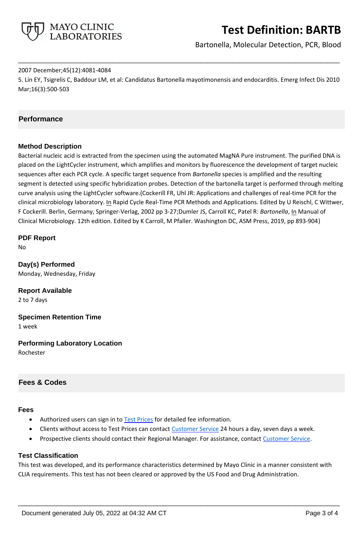

# **Test Definition: BARTB**

Bartonella, Molecular Detection, PCR, Blood

#### 2007 December;45(12):4081-4084

5. Lin EY, Tsigrelis C, Baddour LM, et al: Candidatus Bartonella mayotimonensis and endocarditis. Emerg Infect Dis 2010 Mar;16(3):500-503

**\_\_\_\_\_\_\_\_\_\_\_\_\_\_\_\_\_\_\_\_\_\_\_\_\_\_\_\_\_\_\_\_\_\_\_\_\_\_\_\_\_\_\_\_\_\_\_\_\_\_\_**

# **Performance**

## **Method Description**

Bacterial nucleic acid is extracted from the specimen using the automated MagNA Pure instrument. The purified DNA is placed on the LightCycler instrument, which amplifies and monitors by fluorescence the development of target nucleic sequences after each PCR cycle. A specific target sequence from *Bartonella* species is amplified and the resulting segment is detected using specific hybridization probes. Detection of the bartonella target is performed through melting curve analysis using the LightCycler software.(Cockerill FR, Uhl JR: Applications and challenges of real-time PCR for the clinical microbiology laboratory. In Rapid Cycle Real-Time PCR Methods and Applications. Edited by U Reischl, C Wittwer, F Cockerill. Berlin, Germany, Springer-Verlag, 2002 pp 3-27;Dumler JS, Carroll KC, Patel R: *Bartonella*, In Manual of Clinical Microbiology. 12th edition. Edited by K Carroll, M Pfaller. Washington DC, ASM Press, 2019, pp 893-904)

**PDF Report** No

**Day(s) Performed** Monday, Wednesday, Friday

**Report Available** 2 to 7 days

**Specimen Retention Time** 1 week

**Performing Laboratory Location** Rochester

# **Fees & Codes**

#### **Fees**

- Authorized users can sign in to [Test Prices](https://www.mayocliniclabs.com/customer-service/client-price-lookup/index.html?unit_code=BARTB) for detailed fee information.
- Clients without access to Test Prices can contact [Customer Service](http://www.mayocliniclabs.com/customer-service/contacts.html) 24 hours a day, seven days a week.
- Prospective clients should contact their Regional Manager. For assistance, contact [Customer Service.](http://www.mayocliniclabs.com/customer-service/contacts.html)

#### **Test Classification**

This test was developed, and its performance characteristics determined by Mayo Clinic in a manner consistent with CLIA requirements. This test has not been cleared or approved by the US Food and Drug Administration.

**\_\_\_\_\_\_\_\_\_\_\_\_\_\_\_\_\_\_\_\_\_\_\_\_\_\_\_\_\_\_\_\_\_\_\_\_\_\_\_\_\_\_\_\_\_\_\_\_\_\_\_**